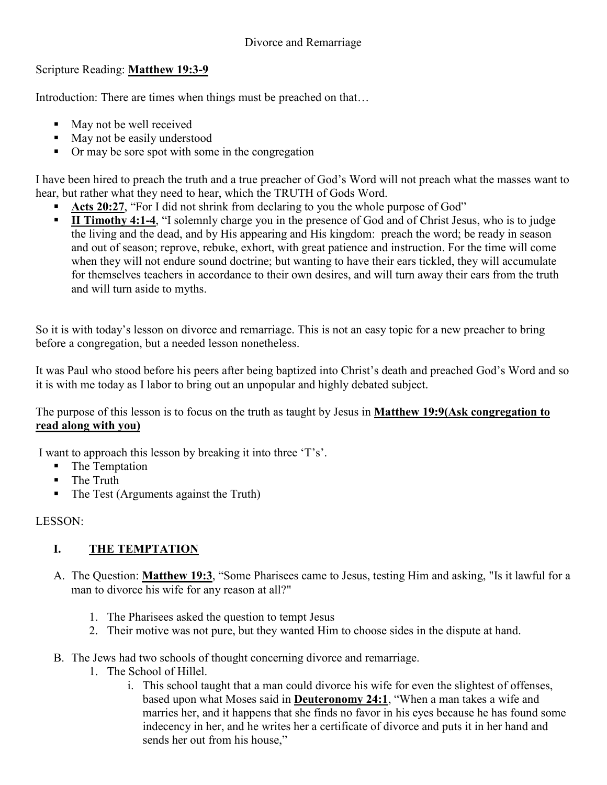## Scripture Reading: **Matthew 19:3-9**

Introduction: There are times when things must be preached on that…

- $\blacksquare$  May not be well received
- $M$ ay not be easily understood
- Or may be sore spot with some in the congregation

I have been hired to preach the truth and a true preacher of God's Word will not preach what the masses want to hear, but rather what they need to hear, which the TRUTH of Gods Word.

- **Acts 20:27**, "For I did not shrink from declaring to you the whole purpose of God"
- **II Timothy 4:1-4**, "I solemnly charge you in the presence of God and of Christ Jesus, who is to judge the living and the dead, and by His appearing and His kingdom: preach the word; be ready in season and out of season; reprove, rebuke, exhort, with great patience and instruction. For the time will come when they will not endure sound doctrine; but wanting to have their ears tickled, they will accumulate for themselves teachers in accordance to their own desires, and will turn away their ears from the truth and will turn aside to myths.

So it is with today's lesson on divorce and remarriage. This is not an easy topic for a new preacher to bring before a congregation, but a needed lesson nonetheless.

It was Paul who stood before his peers after being baptized into Christ's death and preached God's Word and so it is with me today as I labor to bring out an unpopular and highly debated subject.

The purpose of this lesson is to focus on the truth as taught by Jesus in **Matthew 19:9(Ask congregation to read along with you)**

I want to approach this lesson by breaking it into three 'T's'.

- The Temptation
- **The Truth**
- The Test (Arguments against the Truth)

LESSON:

## **I. THE TEMPTATION**

- A. The Question: **Matthew 19:3**, "Some Pharisees came to Jesus, testing Him and asking, "Is it lawful for a man to divorce his wife for any reason at all?"
	- 1. The Pharisees asked the question to tempt Jesus
	- 2. Their motive was not pure, but they wanted Him to choose sides in the dispute at hand.
- B. The Jews had two schools of thought concerning divorce and remarriage.
	- 1. The School of Hillel.
		- i. This school taught that a man could divorce his wife for even the slightest of offenses, based upon what Moses said in **Deuteronomy 24:1**, "When a man takes a wife and marries her, and it happens that she finds no favor in his eyes because he has found some indecency in her, and he writes her a certificate of divorce and puts it in her hand and sends her out from his house,"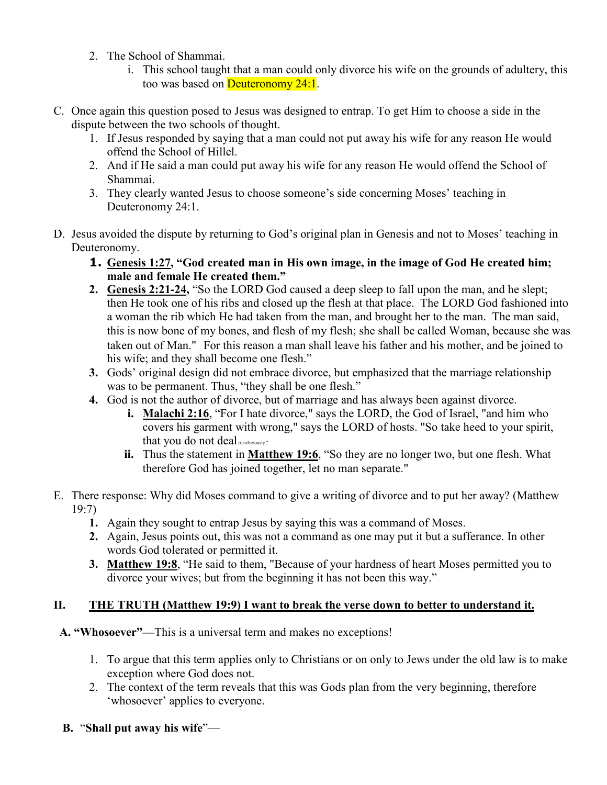- 2. The School of Shammai.
	- i. This school taught that a man could only divorce his wife on the grounds of adultery, this too was based on Deuteronomy 24:1.
- C. Once again this question posed to Jesus was designed to entrap. To get Him to choose a side in the dispute between the two schools of thought.
	- 1. If Jesus responded by saying that a man could not put away his wife for any reason He would offend the School of Hillel.
	- 2. And if He said a man could put away his wife for any reason He would offend the School of Shammai.
	- 3. They clearly wanted Jesus to choose someone's side concerning Moses' teaching in Deuteronomy 24:1.
- D. Jesus avoided the dispute by returning to God's original plan in Genesis and not to Moses' teaching in Deuteronomy.
	- **1. Genesis 1:27, "God created man in His own image, in the image of God He created him; male and female He created them."**
	- **2. Genesis 2:21-24,** "So the LORD God caused a deep sleep to fall upon the man, and he slept; then He took one of his ribs and closed up the flesh at that place. The LORD God fashioned into a woman the rib which He had taken from the man, and brought her to the man. The man said, this is now bone of my bones, and flesh of my flesh; she shall be called Woman, because she was taken out of Man." For this reason a man shall leave his father and his mother, and be joined to his wife; and they shall become one flesh."
	- **3.** Gods' original design did not embrace divorce, but emphasized that the marriage relationship was to be permanent. Thus, "they shall be one flesh."
	- **4.** God is not the author of divorce, but of marriage and has always been against divorce.
		- **i. Malachi 2:16**, "For I hate divorce," says the LORD, the God of Israel, "and him who covers his garment with wrong," says the LORD of hosts. "So take heed to your spirit, that you do not deal treacherously."
		- **ii.** Thus the statement in **Matthew 19:6**, "So they are no longer two, but one flesh. What therefore God has joined together, let no man separate."
- E. There response: Why did Moses command to give a writing of divorce and to put her away? (Matthew 19:7)
	- **1.** Again they sought to entrap Jesus by saying this was a command of Moses.
	- **2.** Again, Jesus points out, this was not a command as one may put it but a sufferance. In other words God tolerated or permitted it.
	- **3. Matthew 19:8**, "He said to them, "Because of your hardness of heart Moses permitted you to divorce your wives; but from the beginning it has not been this way."

## **II. THE TRUTH (Matthew 19:9) I want to break the verse down to better to understand it.**

 **A. "Whosoever"—**This is a universal term and makes no exceptions!

- 1. To argue that this term applies only to Christians or on only to Jews under the old law is to make exception where God does not.
- 2. The context of the term reveals that this was Gods plan from the very beginning, therefore 'whosoever' applies to everyone.
- **B.** "**Shall put away his wife**"—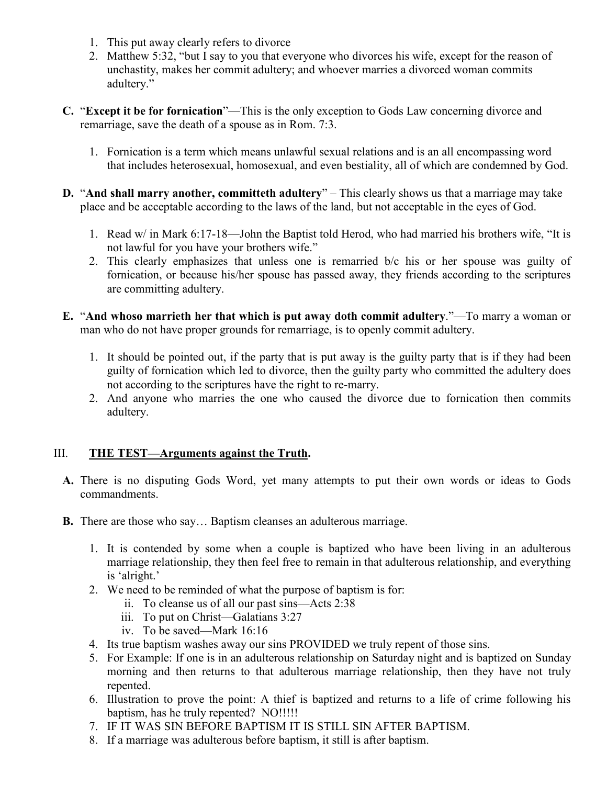- 1. This put away clearly refers to divorce
- 2. Matthew 5:32, "but I say to you that everyone who divorces his wife, except for the reason of unchastity, makes her commit adultery; and whoever marries a divorced woman commits adultery."
- **C.** "**Except it be for fornication**"—This is the only exception to Gods Law concerning divorce and remarriage, save the death of a spouse as in Rom. 7:3.
	- 1. Fornication is a term which means unlawful sexual relations and is an all encompassing word that includes heterosexual, homosexual, and even bestiality, all of which are condemned by God.
- **D.** "**And shall marry another, committeth adultery**" This clearly shows us that a marriage may take place and be acceptable according to the laws of the land, but not acceptable in the eyes of God.
	- 1. Read w/ in Mark 6:17-18—John the Baptist told Herod, who had married his brothers wife, "It is not lawful for you have your brothers wife."
	- 2. This clearly emphasizes that unless one is remarried b/c his or her spouse was guilty of fornication, or because his/her spouse has passed away, they friends according to the scriptures are committing adultery.
- **E.** "**And whoso marrieth her that which is put away doth commit adultery**."—To marry a woman or man who do not have proper grounds for remarriage, is to openly commit adultery.
	- 1. It should be pointed out, if the party that is put away is the guilty party that is if they had been guilty of fornication which led to divorce, then the guilty party who committed the adultery does not according to the scriptures have the right to re-marry.
	- 2. And anyone who marries the one who caused the divorce due to fornication then commits adultery.

## III. **THE TEST—Arguments against the Truth.**

- **A.** There is no disputing Gods Word, yet many attempts to put their own words or ideas to Gods commandments.
- **B.** There are those who say… Baptism cleanses an adulterous marriage.
	- 1. It is contended by some when a couple is baptized who have been living in an adulterous marriage relationship, they then feel free to remain in that adulterous relationship, and everything is 'alright.'
	- 2. We need to be reminded of what the purpose of baptism is for:
		- ii. To cleanse us of all our past sins—Acts 2:38
		- iii. To put on Christ—Galatians 3:27
		- iv. To be saved—Mark 16:16
	- 4. Its true baptism washes away our sins PROVIDED we truly repent of those sins.
	- 5. For Example: If one is in an adulterous relationship on Saturday night and is baptized on Sunday morning and then returns to that adulterous marriage relationship, then they have not truly repented.
	- 6. Illustration to prove the point: A thief is baptized and returns to a life of crime following his baptism, has he truly repented? NO!!!!!
	- 7. IF IT WAS SIN BEFORE BAPTISM IT IS STILL SIN AFTER BAPTISM.
	- 8. If a marriage was adulterous before baptism, it still is after baptism.